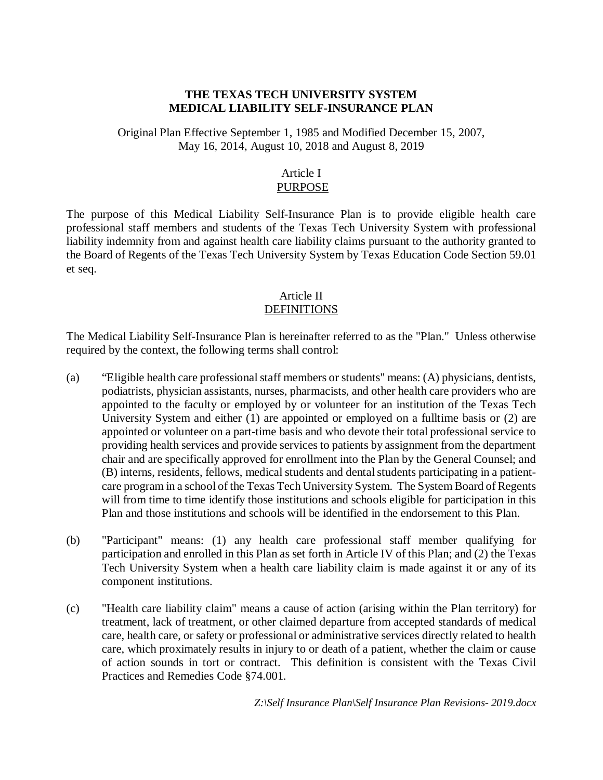#### **THE TEXAS TECH UNIVERSITY SYSTEM MEDICAL LIABILITY SELF-INSURANCE PLAN**

Original Plan Effective September 1, 1985 and Modified December 15, 2007, May 16, 2014, August 10, 2018 and August 8, 2019

#### Article I PURPOSE

The purpose of this Medical Liability Self-Insurance Plan is to provide eligible health care professional staff members and students of the Texas Tech University System with professional liability indemnity from and against health care liability claims pursuant to the authority granted to the Board of Regents of the Texas Tech University System by Texas Education Code Section 59.01 et seq.

#### Article II DEFINITIONS

The Medical Liability Self-Insurance Plan is hereinafter referred to as the "Plan." Unless otherwise required by the context, the following terms shall control:

- (a) "Eligible health care professional staff members or students" means: (A) physicians, dentists, podiatrists, physician assistants, nurses, pharmacists, and other health care providers who are appointed to the faculty or employed by or volunteer for an institution of the Texas Tech University System and either (1) are appointed or employed on a fulltime basis or (2) are appointed or volunteer on a part-time basis and who devote their total professional service to providing health services and provide services to patients by assignment from the department chair and are specifically approved for enrollment into the Plan by the General Counsel; and (B) interns, residents, fellows, medical students and dental students participating in a patientcare program in a school of the Texas Tech University System. The System Board of Regents will from time to time identify those institutions and schools eligible for participation in this Plan and those institutions and schools will be identified in the endorsement to this Plan.
- (b) "Participant" means: (1) any health care professional staff member qualifying for participation and enrolled in this Plan as set forth in Article IV of this Plan; and (2) the Texas Tech University System when a health care liability claim is made against it or any of its component institutions.
- (c) "Health care liability claim" means a cause of action (arising within the Plan territory) for treatment, lack of treatment, or other claimed departure from accepted standards of medical care, health care, or safety or professional or administrative services directly related to health care, which proximately results in injury to or death of a patient, whether the claim or cause of action sounds in tort or contract. This definition is consistent with the Texas Civil Practices and Remedies Code §74.001.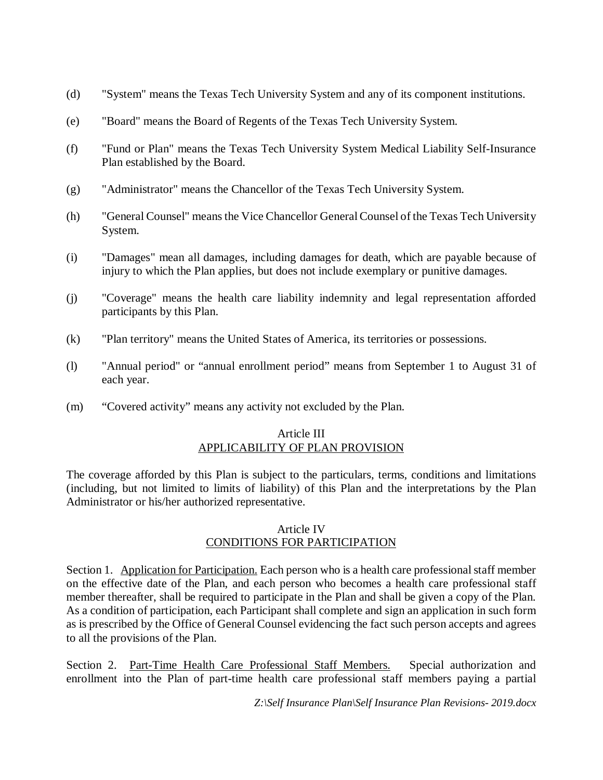- (d) "System" means the Texas Tech University System and any of its component institutions.
- (e) "Board" means the Board of Regents of the Texas Tech University System.
- (f) "Fund or Plan" means the Texas Tech University System Medical Liability Self-Insurance Plan established by the Board.
- (g) "Administrator" means the Chancellor of the Texas Tech University System.
- (h) "General Counsel" means the Vice Chancellor General Counsel of the Texas Tech University System.
- (i) "Damages" mean all damages, including damages for death, which are payable because of injury to which the Plan applies, but does not include exemplary or punitive damages.
- (j) "Coverage" means the health care liability indemnity and legal representation afforded participants by this Plan.
- (k) "Plan territory" means the United States of America, its territories or possessions.
- (l) "Annual period" or "annual enrollment period" means from September 1 to August 31 of each year.
- (m) "Covered activity" means any activity not excluded by the Plan.

## Article III APPLICABILITY OF PLAN PROVISION

The coverage afforded by this Plan is subject to the particulars, terms, conditions and limitations (including, but not limited to limits of liability) of this Plan and the interpretations by the Plan Administrator or his/her authorized representative.

## Article IV CONDITIONS FOR PARTICIPATION

Section 1. Application for Participation. Each person who is a health care professional staff member on the effective date of the Plan, and each person who becomes a health care professional staff member thereafter, shall be required to participate in the Plan and shall be given a copy of the Plan. As a condition of participation, each Participant shall complete and sign an application in such form as is prescribed by the Office of General Counsel evidencing the fact such person accepts and agrees to all the provisions of the Plan.

Section 2. Part-Time Health Care Professional Staff Members. Special authorization and enrollment into the Plan of part-time health care professional staff members paying a partial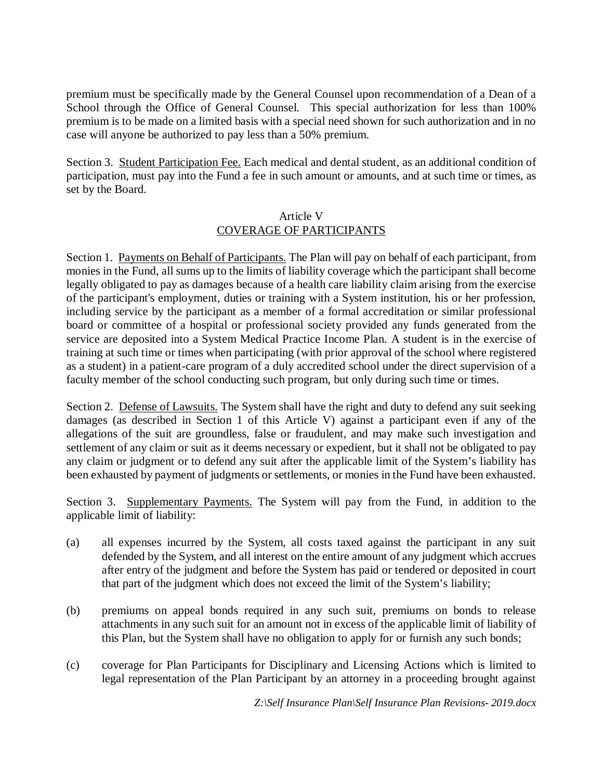premium must be specifically made by the General Counsel upon recommendation of a Dean of a School through the Office of General Counsel. This special authorization for less than 100% premium is to be made on a limited basis with a special need shown for such authorization and in no case will anyone be authorized to pay less than a 50% premium.

Section 3. Student Participation Fee. Each medical and dental student, as an additional condition of participation, must pay into the Fund a fee in such amount or amounts, and at such time or times, as set by the Board.

#### Article V COVERAGE OF PARTICIPANTS

Section 1. Payments on Behalf of Participants. The Plan will pay on behalf of each participant, from monies in the Fund, all sums up to the limits of liability coverage which the participant shall become legally obligated to pay as damages because of a health care liability claim arising from the exercise of the participant's employment, duties or training with a System institution, his or her profession, including service by the participant as a member of a formal accreditation or similar professional board or committee of a hospital or professional society provided any funds generated from the service are deposited into a System Medical Practice Income Plan. A student is in the exercise of training at such time or times when participating (with prior approval of the school where registered as a student) in a patient-care program of a duly accredited school under the direct supervision of a faculty member of the school conducting such program, but only during such time or times.

Section 2. Defense of Lawsuits. The System shall have the right and duty to defend any suit seeking damages (as described in Section 1 of this Article V) against a participant even if any of the allegations of the suit are groundless, false or fraudulent, and may make such investigation and settlement of any claim or suit as it deems necessary or expedient, but it shall not be obligated to pay any claim or judgment or to defend any suit after the applicable limit of the System's liability has been exhausted by payment of judgments or settlements, or monies in the Fund have been exhausted.

Section 3. Supplementary Payments. The System will pay from the Fund, in addition to the applicable limit of liability:

- (a) all expenses incurred by the System, all costs taxed against the participant in any suit defended by the System, and all interest on the entire amount of any judgment which accrues after entry of the judgment and before the System has paid or tendered or deposited in court that part of the judgment which does not exceed the limit of the System's liability;
- (b) premiums on appeal bonds required in any such suit, premiums on bonds to release attachments in any such suit for an amount not in excess of the applicable limit of liability of this Plan, but the System shall have no obligation to apply for or furnish any such bonds;
- (c) coverage for Plan Participants for Disciplinary and Licensing Actions which is limited to legal representation of the Plan Participant by an attorney in a proceeding brought against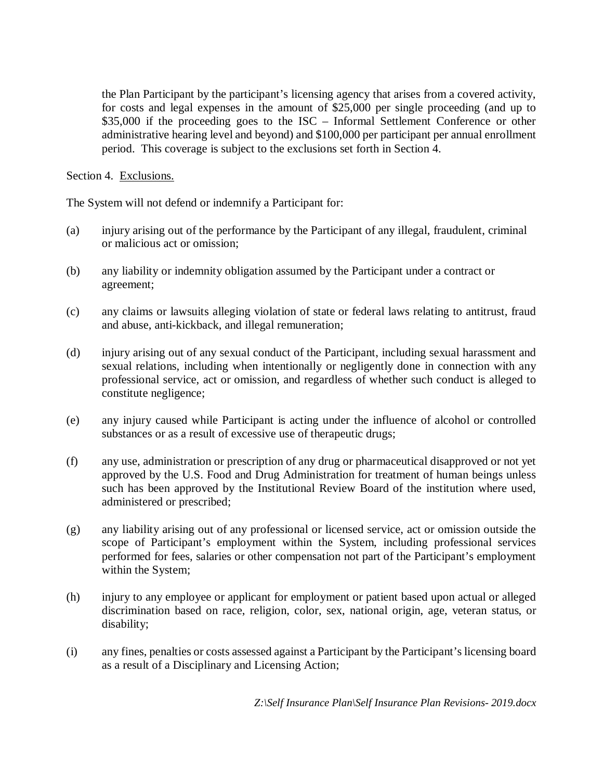the Plan Participant by the participant's licensing agency that arises from a covered activity, for costs and legal expenses in the amount of \$25,000 per single proceeding (and up to \$35,000 if the proceeding goes to the ISC – Informal Settlement Conference or other administrative hearing level and beyond) and \$100,000 per participant per annual enrollment period. This coverage is subject to the exclusions set forth in Section 4.

Section 4. Exclusions.

The System will not defend or indemnify a Participant for:

- (a) injury arising out of the performance by the Participant of any illegal, fraudulent, criminal or malicious act or omission;
- (b) any liability or indemnity obligation assumed by the Participant under a contract or agreement;
- (c) any claims or lawsuits alleging violation of state or federal laws relating to antitrust, fraud and abuse, anti-kickback, and illegal remuneration;
- (d) injury arising out of any sexual conduct of the Participant, including sexual harassment and sexual relations, including when intentionally or negligently done in connection with any professional service, act or omission, and regardless of whether such conduct is alleged to constitute negligence;
- (e) any injury caused while Participant is acting under the influence of alcohol or controlled substances or as a result of excessive use of therapeutic drugs;
- (f) any use, administration or prescription of any drug or pharmaceutical disapproved or not yet approved by the U.S. Food and Drug Administration for treatment of human beings unless such has been approved by the Institutional Review Board of the institution where used, administered or prescribed;
- (g) any liability arising out of any professional or licensed service, act or omission outside the scope of Participant's employment within the System, including professional services performed for fees, salaries or other compensation not part of the Participant's employment within the System;
- (h) injury to any employee or applicant for employment or patient based upon actual or alleged discrimination based on race, religion, color, sex, national origin, age, veteran status, or disability;
- (i) any fines, penalties or costs assessed against a Participant by the Participant's licensing board as a result of a Disciplinary and Licensing Action;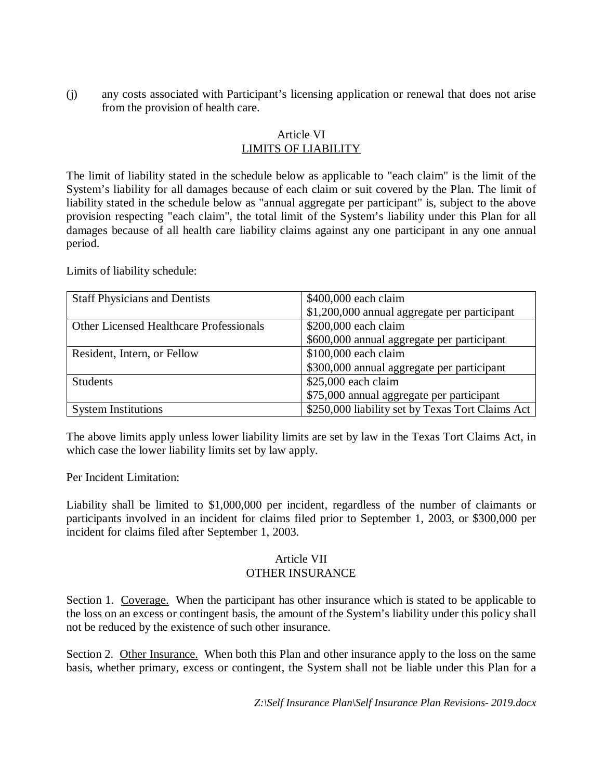(j) any costs associated with Participant's licensing application or renewal that does not arise from the provision of health care.

# Article VI LIMITS OF LIABILITY

The limit of liability stated in the schedule below as applicable to "each claim" is the limit of the System's liability for all damages because of each claim or suit covered by the Plan. The limit of liability stated in the schedule below as "annual aggregate per participant" is, subject to the above provision respecting "each claim", the total limit of the System's liability under this Plan for all damages because of all health care liability claims against any one participant in any one annual period.

Limits of liability schedule:

| <b>Staff Physicians and Dentists</b>           | \$400,000 each claim                             |
|------------------------------------------------|--------------------------------------------------|
|                                                | \$1,200,000 annual aggregate per participant     |
| <b>Other Licensed Healthcare Professionals</b> | \$200,000 each claim                             |
|                                                | \$600,000 annual aggregate per participant       |
| Resident, Intern, or Fellow                    | \$100,000 each claim                             |
|                                                | \$300,000 annual aggregate per participant       |
| <b>Students</b>                                | $$25,000$ each claim                             |
|                                                | \$75,000 annual aggregate per participant        |
| <b>System Institutions</b>                     | \$250,000 liability set by Texas Tort Claims Act |

The above limits apply unless lower liability limits are set by law in the Texas Tort Claims Act, in which case the lower liability limits set by law apply.

Per Incident Limitation:

Liability shall be limited to \$1,000,000 per incident, regardless of the number of claimants or participants involved in an incident for claims filed prior to September 1, 2003, or \$300,000 per incident for claims filed after September 1, 2003.

## Article VII OTHER INSURANCE

Section 1. Coverage. When the participant has other insurance which is stated to be applicable to the loss on an excess or contingent basis, the amount of the System's liability under this policy shall not be reduced by the existence of such other insurance.

Section 2. Other Insurance. When both this Plan and other insurance apply to the loss on the same basis, whether primary, excess or contingent, the System shall not be liable under this Plan for a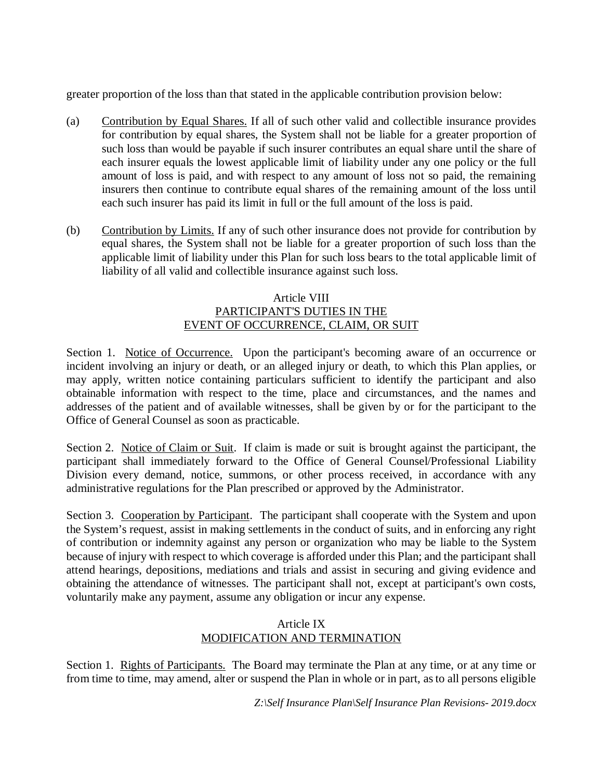greater proportion of the loss than that stated in the applicable contribution provision below:

- (a) Contribution by Equal Shares. If all of such other valid and collectible insurance provides for contribution by equal shares, the System shall not be liable for a greater proportion of such loss than would be payable if such insurer contributes an equal share until the share of each insurer equals the lowest applicable limit of liability under any one policy or the full amount of loss is paid, and with respect to any amount of loss not so paid, the remaining insurers then continue to contribute equal shares of the remaining amount of the loss until each such insurer has paid its limit in full or the full amount of the loss is paid.
- (b) Contribution by Limits. If any of such other insurance does not provide for contribution by equal shares, the System shall not be liable for a greater proportion of such loss than the applicable limit of liability under this Plan for such loss bears to the total applicable limit of liability of all valid and collectible insurance against such loss.

## Article VIII PARTICIPANT'S DUTIES IN THE EVENT OF OCCURRENCE, CLAIM, OR SUIT

Section 1. Notice of Occurrence. Upon the participant's becoming aware of an occurrence or incident involving an injury or death, or an alleged injury or death, to which this Plan applies, or may apply, written notice containing particulars sufficient to identify the participant and also obtainable information with respect to the time, place and circumstances, and the names and addresses of the patient and of available witnesses, shall be given by or for the participant to the Office of General Counsel as soon as practicable.

Section 2. Notice of Claim or Suit. If claim is made or suit is brought against the participant, the participant shall immediately forward to the Office of General Counsel/Professional Liability Division every demand, notice, summons, or other process received, in accordance with any administrative regulations for the Plan prescribed or approved by the Administrator.

Section 3. Cooperation by Participant. The participant shall cooperate with the System and upon the System's request, assist in making settlements in the conduct of suits, and in enforcing any right of contribution or indemnity against any person or organization who may be liable to the System because of injury with respect to which coverage is afforded under this Plan; and the participant shall attend hearings, depositions, mediations and trials and assist in securing and giving evidence and obtaining the attendance of witnesses. The participant shall not, except at participant's own costs, voluntarily make any payment, assume any obligation or incur any expense.

# Article IX MODIFICATION AND TERMINATION

Section 1. Rights of Participants. The Board may terminate the Plan at any time, or at any time or from time to time, may amend, alter or suspend the Plan in whole or in part, as to all persons eligible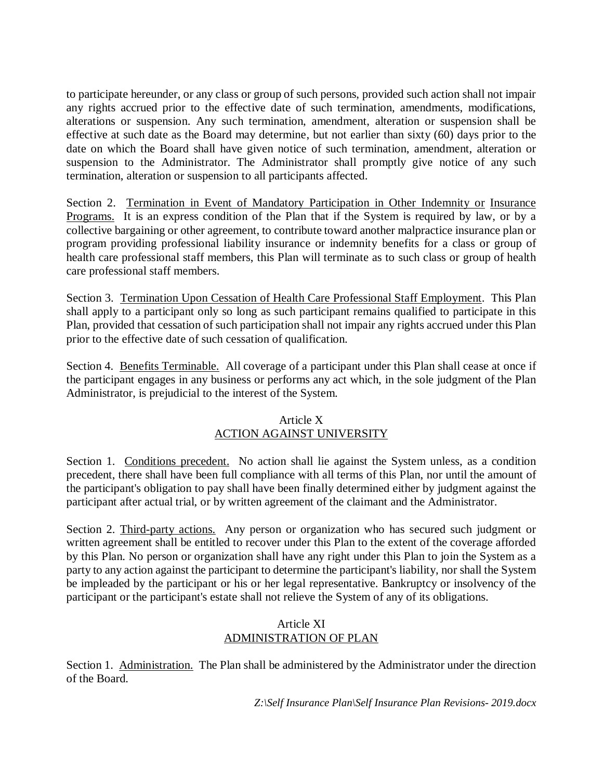to participate hereunder, or any class or group of such persons, provided such action shall not impair any rights accrued prior to the effective date of such termination, amendments, modifications, alterations or suspension. Any such termination, amendment, alteration or suspension shall be effective at such date as the Board may determine, but not earlier than sixty (60) days prior to the date on which the Board shall have given notice of such termination, amendment, alteration or suspension to the Administrator. The Administrator shall promptly give notice of any such termination, alteration or suspension to all participants affected.

Section 2. Termination in Event of Mandatory Participation in Other Indemnity or Insurance Programs. It is an express condition of the Plan that if the System is required by law, or by a collective bargaining or other agreement, to contribute toward another malpractice insurance plan or program providing professional liability insurance or indemnity benefits for a class or group of health care professional staff members, this Plan will terminate as to such class or group of health care professional staff members.

Section 3. Termination Upon Cessation of Health Care Professional Staff Employment. This Plan shall apply to a participant only so long as such participant remains qualified to participate in this Plan, provided that cessation of such participation shall not impair any rights accrued under this Plan prior to the effective date of such cessation of qualification.

Section 4. Benefits Terminable. All coverage of a participant under this Plan shall cease at once if the participant engages in any business or performs any act which, in the sole judgment of the Plan Administrator, is prejudicial to the interest of the System.

# Article X ACTION AGAINST UNIVERSITY

Section 1. Conditions precedent. No action shall lie against the System unless, as a condition precedent, there shall have been full compliance with all terms of this Plan, nor until the amount of the participant's obligation to pay shall have been finally determined either by judgment against the participant after actual trial, or by written agreement of the claimant and the Administrator.

Section 2. Third-party actions. Any person or organization who has secured such judgment or written agreement shall be entitled to recover under this Plan to the extent of the coverage afforded by this Plan. No person or organization shall have any right under this Plan to join the System as a party to any action against the participant to determine the participant's liability, nor shall the System be impleaded by the participant or his or her legal representative. Bankruptcy or insolvency of the participant or the participant's estate shall not relieve the System of any of its obligations.

# Article XI ADMINISTRATION OF PLAN

Section 1. Administration. The Plan shall be administered by the Administrator under the direction of the Board.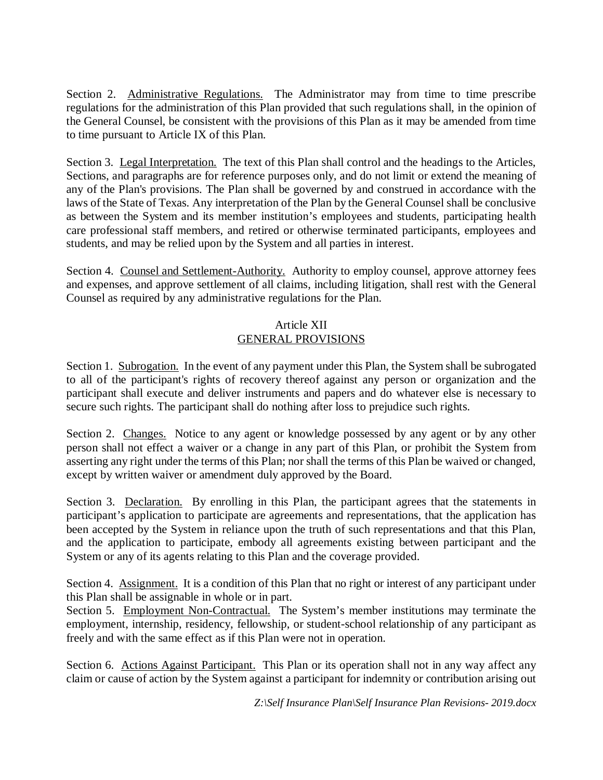Section 2. Administrative Regulations. The Administrator may from time to time prescribe regulations for the administration of this Plan provided that such regulations shall, in the opinion of the General Counsel, be consistent with the provisions of this Plan as it may be amended from time to time pursuant to Article IX of this Plan.

Section 3. Legal Interpretation. The text of this Plan shall control and the headings to the Articles, Sections, and paragraphs are for reference purposes only, and do not limit or extend the meaning of any of the Plan's provisions. The Plan shall be governed by and construed in accordance with the laws of the State of Texas. Any interpretation of the Plan by the General Counsel shall be conclusive as between the System and its member institution's employees and students, participating health care professional staff members, and retired or otherwise terminated participants, employees and students, and may be relied upon by the System and all parties in interest.

Section 4. Counsel and Settlement-Authority. Authority to employ counsel, approve attorney fees and expenses, and approve settlement of all claims, including litigation, shall rest with the General Counsel as required by any administrative regulations for the Plan.

# Article XII GENERAL PROVISIONS

Section 1. Subrogation. In the event of any payment under this Plan, the System shall be subrogated to all of the participant's rights of recovery thereof against any person or organization and the participant shall execute and deliver instruments and papers and do whatever else is necessary to secure such rights. The participant shall do nothing after loss to prejudice such rights.

Section 2. Changes. Notice to any agent or knowledge possessed by any agent or by any other person shall not effect a waiver or a change in any part of this Plan, or prohibit the System from asserting any right under the terms of this Plan; nor shall the terms of this Plan be waived or changed, except by written waiver or amendment duly approved by the Board.

Section 3. Declaration. By enrolling in this Plan, the participant agrees that the statements in participant's application to participate are agreements and representations, that the application has been accepted by the System in reliance upon the truth of such representations and that this Plan, and the application to participate, embody all agreements existing between participant and the System or any of its agents relating to this Plan and the coverage provided.

Section 4. Assignment. It is a condition of this Plan that no right or interest of any participant under this Plan shall be assignable in whole or in part.

Section 5. Employment Non-Contractual. The System's member institutions may terminate the employment, internship, residency, fellowship, or student-school relationship of any participant as freely and with the same effect as if this Plan were not in operation.

Section 6. Actions Against Participant. This Plan or its operation shall not in any way affect any claim or cause of action by the System against a participant for indemnity or contribution arising out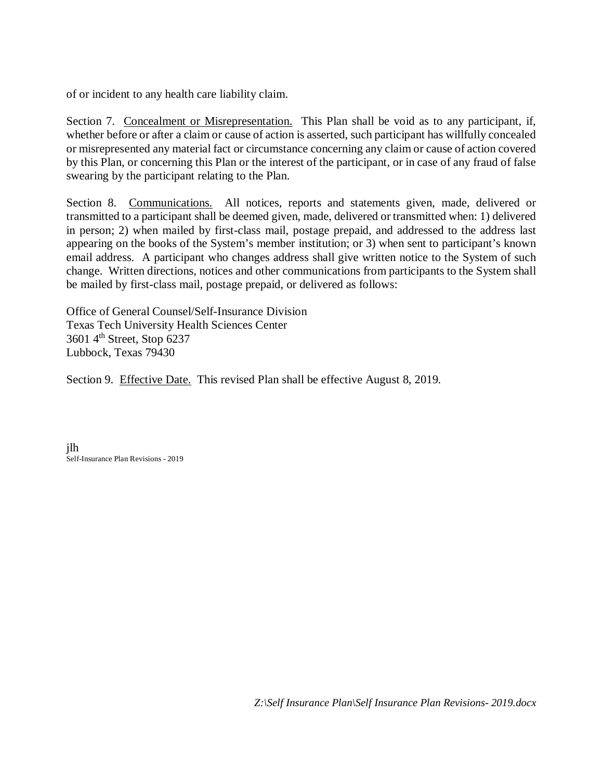of or incident to any health care liability claim.

Section 7. Concealment or Misrepresentation. This Plan shall be void as to any participant, if, whether before or after a claim or cause of action is asserted, such participant has willfully concealed or misrepresented any material fact or circumstance concerning any claim or cause of action covered by this Plan, or concerning this Plan or the interest of the participant, or in case of any fraud of false swearing by the participant relating to the Plan.

Section 8. Communications. All notices, reports and statements given, made, delivered or transmitted to a participant shall be deemed given, made, delivered or transmitted when: 1) delivered in person; 2) when mailed by first-class mail, postage prepaid, and addressed to the address last appearing on the books of the System's member institution; or 3) when sent to participant's known email address. A participant who changes address shall give written notice to the System of such change. Written directions, notices and other communications from participants to the System shall be mailed by first-class mail, postage prepaid, or delivered as follows:

Office of General Counsel/Self-Insurance Division Texas Tech University Health Sciences Center 3601 4th Street, Stop 6237 Lubbock, Texas 79430

Section 9. Effective Date. This revised Plan shall be effective August 8, 2019.

jlh Self-Insurance Plan Revisions - 2019